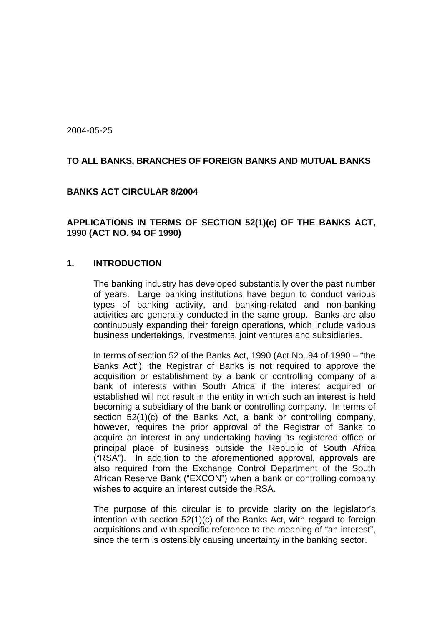2004-05-25

## **TO ALL BANKS, BRANCHES OF FOREIGN BANKS AND MUTUAL BANKS**

#### **BANKS ACT CIRCULAR 8/2004**

**APPLICATIONS IN TERMS OF SECTION 52(1)(c) OF THE BANKS ACT, 1990 (ACT NO. 94 OF 1990)** 

#### **1. INTRODUCTION**

The banking industry has developed substantially over the past number of years. Large banking institutions have begun to conduct various types of banking activity, and banking-related and non-banking activities are generally conducted in the same group. Banks are also continuously expanding their foreign operations, which include various business undertakings, investments, joint ventures and subsidiaries.

In terms of section 52 of the Banks Act, 1990 (Act No. 94 of 1990 – "the Banks Act"), the Registrar of Banks is not required to approve the acquisition or establishment by a bank or controlling company of a bank of interests within South Africa if the interest acquired or established will not result in the entity in which such an interest is held becoming a subsidiary of the bank or controlling company. In terms of section 52(1)(c) of the Banks Act, a bank or controlling company, however, requires the prior approval of the Registrar of Banks to acquire an interest in any undertaking having its registered office or principal place of business outside the Republic of South Africa ("RSA"). In addition to the aforementioned approval, approvals are also required from the Exchange Control Department of the South African Reserve Bank ("EXCON") when a bank or controlling company wishes to acquire an interest outside the RSA.

The purpose of this circular is to provide clarity on the legislator's intention with section 52(1)(c) of the Banks Act, with regard to foreign acquisitions and with specific reference to the meaning of "an interest", since the term is ostensibly causing uncertainty in the banking sector.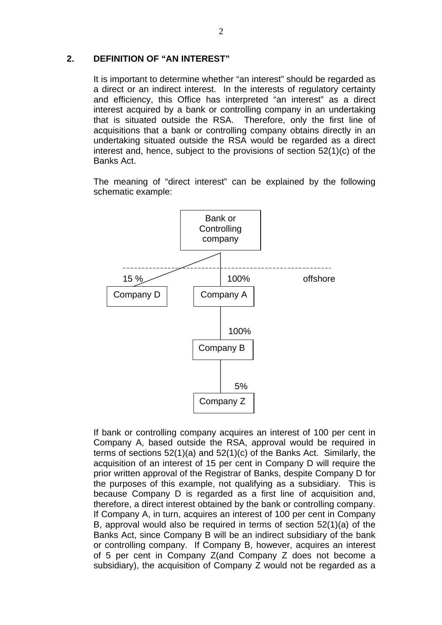#### **2. DEFINITION OF "AN INTEREST"**

It is important to determine whether "an interest" should be regarded as a direct or an indirect interest. In the interests of regulatory certainty and efficiency, this Office has interpreted "an interest" as a direct interest acquired by a bank or controlling company in an undertaking that is situated outside the RSA. Therefore, only the first line of acquisitions that a bank or controlling company obtains directly in an undertaking situated outside the RSA would be regarded as a direct interest and, hence, subject to the provisions of section 52(1)(c) of the Banks Act.

The meaning of "direct interest" can be explained by the following schematic example:



If bank or controlling company acquires an interest of 100 per cent in Company A, based outside the RSA, approval would be required in terms of sections 52(1)(a) and 52(1)(c) of the Banks Act. Similarly, the acquisition of an interest of 15 per cent in Company D will require the prior written approval of the Registrar of Banks, despite Company D for the purposes of this example, not qualifying as a subsidiary. This is because Company D is regarded as a first line of acquisition and, therefore, a direct interest obtained by the bank or controlling company. If Company A, in turn, acquires an interest of 100 per cent in Company B, approval would also be required in terms of section 52(1)(a) of the Banks Act, since Company B will be an indirect subsidiary of the bank or controlling company. If Company B, however, acquires an interest of 5 per cent in Company Z(and Company Z does not become a subsidiary), the acquisition of Company Z would not be regarded as a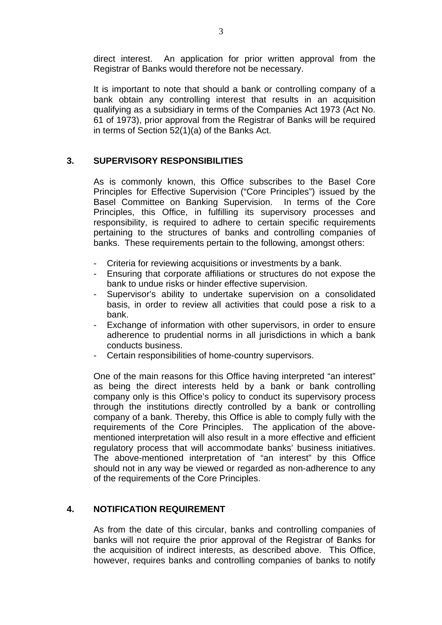direct interest. An application for prior written approval from the Registrar of Banks would therefore not be necessary.

It is important to note that should a bank or controlling company of a bank obtain any controlling interest that results in an acquisition qualifying as a subsidiary in terms of the Companies Act 1973 (Act No. 61 of 1973), prior approval from the Registrar of Banks will be required in terms of Section 52(1)(a) of the Banks Act.

# **3. SUPERVISORY RESPONSIBILITIES**

As is commonly known, this Office subscribes to the Basel Core Principles for Effective Supervision ("Core Principles") issued by the Basel Committee on Banking Supervision. In terms of the Core Principles, this Office, in fulfilling its supervisory processes and responsibility, is required to adhere to certain specific requirements pertaining to the structures of banks and controlling companies of banks. These requirements pertain to the following, amongst others:

- Criteria for reviewing acquisitions or investments by a bank.
- Ensuring that corporate affiliations or structures do not expose the bank to undue risks or hinder effective supervision.
- Supervisor's ability to undertake supervision on a consolidated basis, in order to review all activities that could pose a risk to a bank.
- Exchange of information with other supervisors, in order to ensure adherence to prudential norms in all jurisdictions in which a bank conducts business.
- Certain responsibilities of home-country supervisors.

One of the main reasons for this Office having interpreted "an interest" as being the direct interests held by a bank or bank controlling company only is this Office's policy to conduct its supervisory process through the institutions directly controlled by a bank or controlling company of a bank. Thereby, this Office is able to comply fully with the requirements of the Core Principles. The application of the abovementioned interpretation will also result in a more effective and efficient regulatory process that will accommodate banks' business initiatives. The above-mentioned interpretation of "an interest" by this Office should not in any way be viewed or regarded as non-adherence to any of the requirements of the Core Principles.

## **4. NOTIFICATION REQUIREMENT**

As from the date of this circular, banks and controlling companies of banks will not require the prior approval of the Registrar of Banks for the acquisition of indirect interests, as described above. This Office, however, requires banks and controlling companies of banks to notify